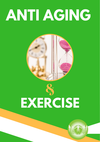# **ANTI AGING**



## & **EXERCISE**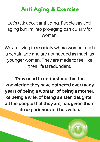### **Anti Aging & Exercise**

Let's talk about anti-aging. People say antiaging but I'm into pro-aging particularly for women.

We are living in a society where women reach a certain age and are not needed as much as younger women. They are made to feel like their life is redundant.

They need to understand that the knowledge they have gathered over many years of being a woman, of being a mother, of being a wife, of being a sister, daughter all the people that they are, has given them life experience and has value.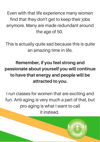Even with that life experience many women find that they don't get to keep their jobs anymore. Many are made redundant around the age of 50.

This is actually quite sad because this is quite an amazing time in life.

#### Remember, if you feel strong and passionate about yourself you will continue to have that energy and people will be attracted to you.

I run classes for women that are exciting and fun. Anti-aging is very much a part of that, but pro-aging is what I want to call it instead.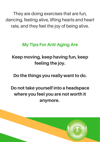They are doing exercises that are fun, dancing, feeling alive, lifting hearts and heart rate, and they feel the joy of being alive.

#### My Tips For Anti-Aging Are

#### Keep moving, keep having fun, keep feeling the joy.

Do the things you really want to do.

#### Do not take yourself into a headspace where you feel you are not worth it anymore.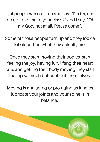I get people who call me and say. "I'm 55, am I too old to come to your class?" and I say, "Oh my God, not at all. Please come".

Some of those people turn up and they look a lot older than what they actually are.

Once they start moving their bodies, start feeling the joy, having fun, lifting their heart rate, and getting their body moving they start feeling so much better about themselves.

Moving is anti-aging or pro-aging as it helps lubricate your joints and your spine is in balance.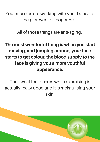Your muscles are working with your bones to help prevent osteoporosis.

All of those things are anti-aging.

#### The most wonderful thing is when you start moving, and jumping around, your face starts to get colour, the blood supply to the face is giving you a more youthful appearance.

The sweat that occurs while exercising is actually really good and it is moisturising your skin.

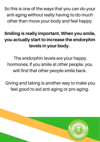So this is one of the ways that you can do your anti-aging without really having to do much other than move your body and feel happy.

#### Smiling is really important. When you smile, you actually start to increase the endorphin levels in your body.

The endorphin levels are your happy hormones. If you smile at other people, you will find that other people smile back.

Giving and taking is another way to make you feel good to aid anti-aging or pro-aging.